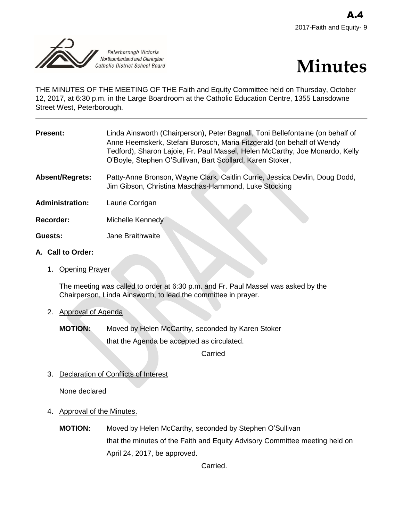



THE MINUTES OF THE MEETING OF THE Faith and Equity Committee held on Thursday, October 12, 2017, at 6:30 p.m. in the Large Boardroom at the Catholic Education Centre, 1355 Lansdowne Street West, Peterborough.

| <b>Present:</b>        | Linda Ainsworth (Chairperson), Peter Bagnall, Toni Bellefontaine (on behalf of<br>Anne Heemskerk, Stefani Burosch, Maria Fitzgerald (on behalf of Wendy<br>Tedford), Sharon Lajoie, Fr. Paul Massel, Helen McCarthy, Joe Monardo, Kelly<br>O'Boyle, Stephen O'Sullivan, Bart Scollard, Karen Stoker, |
|------------------------|------------------------------------------------------------------------------------------------------------------------------------------------------------------------------------------------------------------------------------------------------------------------------------------------------|
| Absent/Regrets:        | Patty-Anne Bronson, Wayne Clark, Caitlin Currie, Jessica Devlin, Doug Dodd,<br>Jim Gibson, Christina Maschas-Hammond, Luke Stocking                                                                                                                                                                  |
| <b>Administration:</b> | Laurie Corrigan                                                                                                                                                                                                                                                                                      |
| <b>Recorder:</b>       | Michelle Kennedy                                                                                                                                                                                                                                                                                     |
| Guests:                | Jane Braithwaite                                                                                                                                                                                                                                                                                     |

# **A. Call to Order:**

1. Opening Prayer

The meeting was called to order at 6:30 p.m. and Fr. Paul Massel was asked by the Chairperson, Linda Ainsworth, to lead the committee in prayer.

# 2. Approval of Agenda

**MOTION:** Moved by Helen McCarthy, seconded by Karen Stoker

that the Agenda be accepted as circulated.

Carried

3. Declaration of Conflicts of Interest

None declared

- 4. Approval of the Minutes.
	- **MOTION:** Moved by Helen McCarthy, seconded by Stephen O'Sullivan that the minutes of the Faith and Equity Advisory Committee meeting held on April 24, 2017, be approved.

Carried.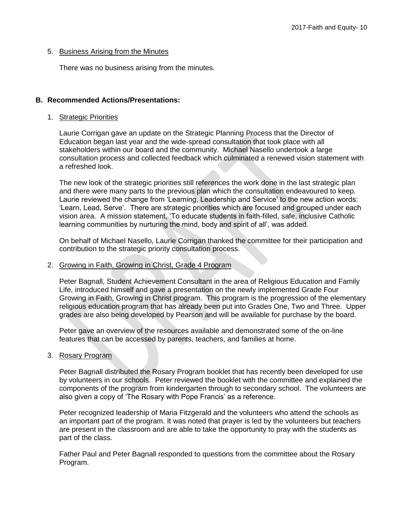#### 5. Business Arising from the Minutes

There was no business arising from the minutes.

### **B. Recommended Actions/Presentations:**

#### 1. Strategic Priorities

Laurie Corrigan gave an update on the Strategic Planning Process that the Director of Education began last year and the wide-spread consultation that took place with all stakeholders within our board and the community. Michael Nasello undertook a large consultation process and collected feedback which culminated a renewed vision statement with a refreshed look.

The new look of the strategic priorities still references the work done in the last strategic plan and there were many parts to the previous plan which the consultation endeavoured to keep. Laurie reviewed the change from 'Learning, Leadership and Service' to the new action words: 'Learn, Lead, Serve'. There are strategic priorities which are focused and grouped under each vision area. A mission statement, 'To educate students in faith-filled, safe, inclusive Catholic learning communities by nurturing the mind, body and spirit of all', was added.

On behalf of Michael Nasello, Laurie Corrigan thanked the committee for their participation and contribution to the strategic priority consultation process.

### 2. Growing in Faith, Growing in Christ, Grade 4 Program

Peter Bagnall, Student Achievement Consultant in the area of Religious Education and Family Life, introduced himself and gave a presentation on the newly implemented Grade Four Growing in Faith, Growing in Christ program. This program is the progression of the elementary religious education program that has already been put into Grades One, Two and Three. Upper grades are also being developed by Pearson and will be available for purchase by the board.

Peter gave an overview of the resources available and demonstrated some of the on-line features that can be accessed by parents, teachers, and families at home.

### 3. Rosary Program

Peter Bagnall distributed the Rosary Program booklet that has recently been developed for use by volunteers in our schools. Peter reviewed the booklet with the committee and explained the components of the program from kindergarten through to secondary school. The volunteers are also given a copy of 'The Rosary with Pope Francis' as a reference.

Peter recognized leadership of Maria Fitzgerald and the volunteers who attend the schools as an important part of the program. It was noted that prayer is led by the volunteers but teachers are present in the classroom and are able to take the opportunity to pray with the students as part of the class.

Father Paul and Peter Bagnall responded to questions from the committee about the Rosary Program.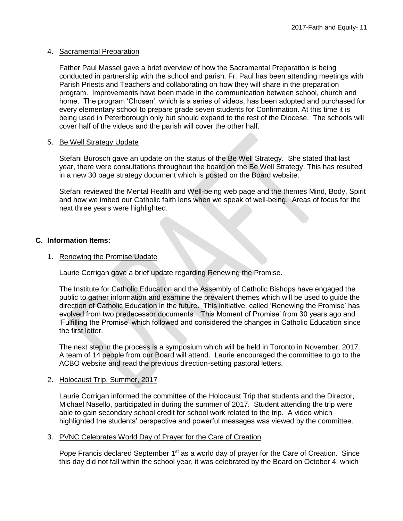### 4. Sacramental Preparation

Father Paul Massel gave a brief overview of how the Sacramental Preparation is being conducted in partnership with the school and parish. Fr. Paul has been attending meetings with Parish Priests and Teachers and collaborating on how they will share in the preparation program. Improvements have been made in the communication between school, church and home. The program 'Chosen', which is a series of videos, has been adopted and purchased for every elementary school to prepare grade seven students for Confirmation. At this time it is being used in Peterborough only but should expand to the rest of the Diocese. The schools will cover half of the videos and the parish will cover the other half.

## 5. Be Well Strategy Update

Stefani Burosch gave an update on the status of the Be Well Strategy. She stated that last year, there were consultations throughout the board on the Be Well Strategy. This has resulted in a new 30 page strategy document which is posted on the Board website.

Stefani reviewed the Mental Health and Well-being web page and the themes Mind, Body, Spirit and how we imbed our Catholic faith lens when we speak of well-being. Areas of focus for the next three years were highlighted.

# **C. Information Items:**

## 1. Renewing the Promise Update

Laurie Corrigan gave a brief update regarding Renewing the Promise.

The Institute for Catholic Education and the Assembly of Catholic Bishops have engaged the public to gather information and examine the prevalent themes which will be used to guide the direction of Catholic Education in the future. This initiative, called 'Renewing the Promise' has evolved from two predecessor documents. 'This Moment of Promise' from 30 years ago and 'Fulfilling the Promise' which followed and considered the changes in Catholic Education since the first letter.

The next step in the process is a symposium which will be held in Toronto in November, 2017. A team of 14 people from our Board will attend. Laurie encouraged the committee to go to the ACBO website and read the previous direction-setting pastoral letters.

### 2. Holocaust Trip, Summer, 2017

Laurie Corrigan informed the committee of the Holocaust Trip that students and the Director, Michael Nasello, participated in during the summer of 2017. Student attending the trip were able to gain secondary school credit for school work related to the trip. A video which highlighted the students' perspective and powerful messages was viewed by the committee.

### 3. PVNC Celebrates World Day of Prayer for the Care of Creation

Pope Francis declared September 1<sup>st</sup> as a world day of prayer for the Care of Creation. Since this day did not fall within the school year, it was celebrated by the Board on October 4, which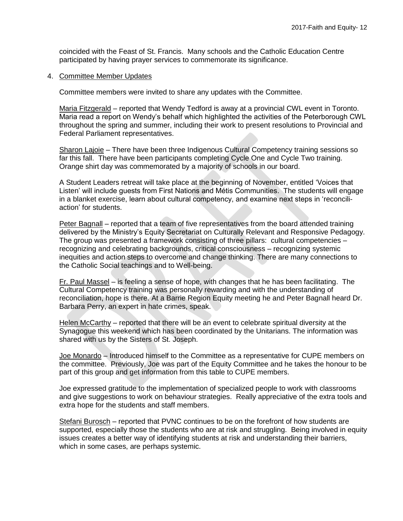coincided with the Feast of St. Francis. Many schools and the Catholic Education Centre participated by having prayer services to commemorate its significance.

#### 4. Committee Member Updates

Committee members were invited to share any updates with the Committee.

Maria Fitzgerald – reported that Wendy Tedford is away at a provincial CWL event in Toronto. Maria read a report on Wendy's behalf which highlighted the activities of the Peterborough CWL throughout the spring and summer, including their work to present resolutions to Provincial and Federal Parliament representatives.

Sharon Lajoie - There have been three Indigenous Cultural Competency training sessions so far this fall. There have been participants completing Cycle One and Cycle Two training. Orange shirt day was commemorated by a majority of schools in our board.

A Student Leaders retreat will take place at the beginning of November, entitled 'Voices that Listen' will include guests from First Nations and Métis Communities. The students will engage in a blanket exercise, learn about cultural competency, and examine next steps in 'reconciliaction' for students.

Peter Bagnall – reported that a team of five representatives from the board attended training delivered by the Ministry's Equity Secretariat on Culturally Relevant and Responsive Pedagogy. The group was presented a framework consisting of three pillars: cultural competencies – recognizing and celebrating backgrounds, critical consciousness – recognizing systemic inequities and action steps to overcome and change thinking. There are many connections to the Catholic Social teachings and to Well-being.

Fr. Paul Massel – is feeling a sense of hope, with changes that he has been facilitating. The Cultural Competency training was personally rewarding and with the understanding of reconciliation, hope is there. At a Barrie Region Equity meeting he and Peter Bagnall heard Dr. Barbara Perry, an expert in hate crimes, speak.

Helen McCarthy – reported that there will be an event to celebrate spiritual diversity at the Synagogue this weekend which has been coordinated by the Unitarians. The information was shared with us by the Sisters of St. Joseph.

Joe Monardo – Introduced himself to the Committee as a representative for CUPE members on the committee. Previously, Joe was part of the Equity Committee and he takes the honour to be part of this group and get information from this table to CUPE members.

Joe expressed gratitude to the implementation of specialized people to work with classrooms and give suggestions to work on behaviour strategies. Really appreciative of the extra tools and extra hope for the students and staff members.

Stefani Burosch – reported that PVNC continues to be on the forefront of how students are supported, especially those the students who are at risk and struggling. Being involved in equity issues creates a better way of identifying students at risk and understanding their barriers, which in some cases, are perhaps systemic.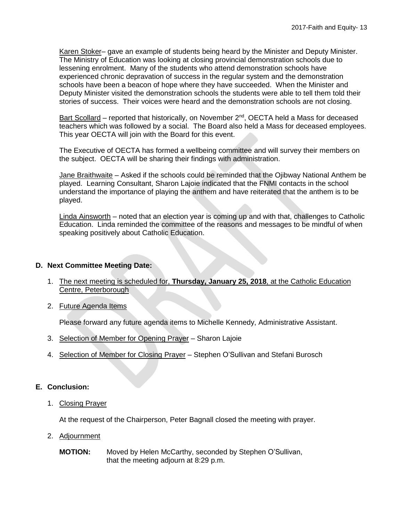Karen Stoker– gave an example of students being heard by the Minister and Deputy Minister. The Ministry of Education was looking at closing provincial demonstration schools due to lessening enrolment. Many of the students who attend demonstration schools have experienced chronic depravation of success in the regular system and the demonstration schools have been a beacon of hope where they have succeeded. When the Minister and Deputy Minister visited the demonstration schools the students were able to tell them told their stories of success. Their voices were heard and the demonstration schools are not closing.

Bart Scollard – reported that historically, on November 2<sup>nd</sup>, OECTA held a Mass for deceased teachers which was followed by a social. The Board also held a Mass for deceased employees. This year OECTA will join with the Board for this event.

The Executive of OECTA has formed a wellbeing committee and will survey their members on the subject. OECTA will be sharing their findings with administration.

Jane Braithwaite – Asked if the schools could be reminded that the Ojibway National Anthem be played. Learning Consultant, Sharon Lajoie indicated that the FNMI contacts in the school understand the importance of playing the anthem and have reiterated that the anthem is to be played.

Linda Ainsworth – noted that an election year is coming up and with that, challenges to Catholic Education. Linda reminded the committee of the reasons and messages to be mindful of when speaking positively about Catholic Education.

# **D. Next Committee Meeting Date:**

- 1. The next meeting is scheduled for, **Thursday, January 25, 2018**, at the Catholic Education Centre, Peterborough
- 2. Future Agenda Items

Please forward any future agenda items to Michelle Kennedy, Administrative Assistant.

- 3. Selection of Member for Opening Prayer Sharon Lajoie
- 4. Selection of Member for Closing Prayer Stephen O'Sullivan and Stefani Burosch

# **E. Conclusion:**

1. Closing Prayer

At the request of the Chairperson, Peter Bagnall closed the meeting with prayer.

- 2. Adjournment
	- **MOTION:** Moved by Helen McCarthy, seconded by Stephen O'Sullivan, that the meeting adjourn at 8:29 p.m.